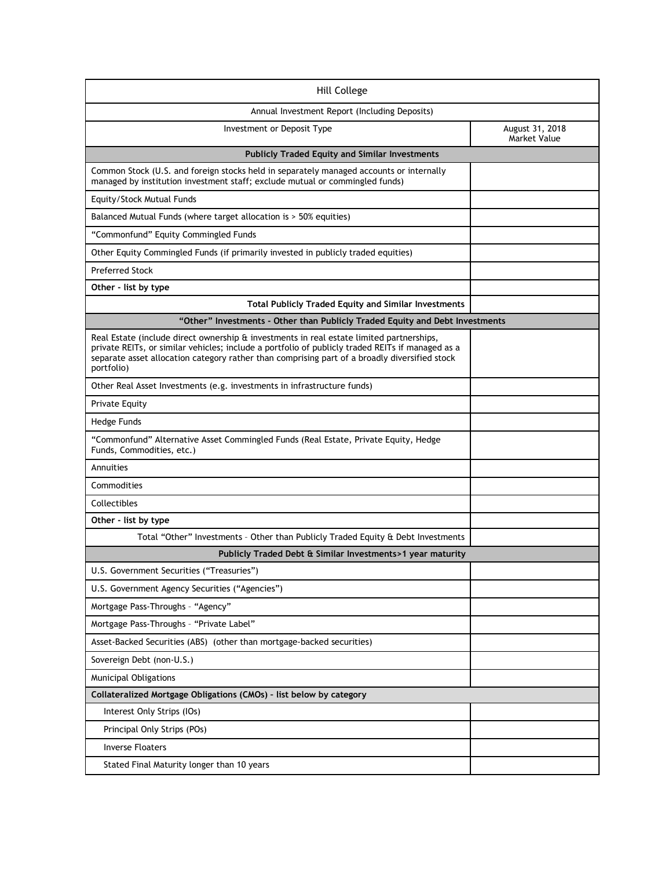| Hill College                                                                                                                                                                                                                                                                                                        |                                        |  |
|---------------------------------------------------------------------------------------------------------------------------------------------------------------------------------------------------------------------------------------------------------------------------------------------------------------------|----------------------------------------|--|
| Annual Investment Report (Including Deposits)                                                                                                                                                                                                                                                                       |                                        |  |
| Investment or Deposit Type                                                                                                                                                                                                                                                                                          | August 31, 2018<br><b>Market Value</b> |  |
| <b>Publicly Traded Equity and Similar Investments</b>                                                                                                                                                                                                                                                               |                                        |  |
| Common Stock (U.S. and foreign stocks held in separately managed accounts or internally<br>managed by institution investment staff; exclude mutual or commingled funds)                                                                                                                                             |                                        |  |
| Equity/Stock Mutual Funds                                                                                                                                                                                                                                                                                           |                                        |  |
| Balanced Mutual Funds (where target allocation is > 50% equities)                                                                                                                                                                                                                                                   |                                        |  |
| "Commonfund" Equity Commingled Funds                                                                                                                                                                                                                                                                                |                                        |  |
| Other Equity Commingled Funds (if primarily invested in publicly traded equities)                                                                                                                                                                                                                                   |                                        |  |
| <b>Preferred Stock</b>                                                                                                                                                                                                                                                                                              |                                        |  |
| Other - list by type                                                                                                                                                                                                                                                                                                |                                        |  |
| <b>Total Publicly Traded Equity and Similar Investments</b>                                                                                                                                                                                                                                                         |                                        |  |
| "Other" Investments - Other than Publicly Traded Equity and Debt Investments                                                                                                                                                                                                                                        |                                        |  |
| Real Estate (include direct ownership $\hat{a}$ investments in real estate limited partnerships,<br>private REITs, or similar vehicles; include a portfolio of publicly traded REITs if managed as a<br>separate asset allocation category rather than comprising part of a broadly diversified stock<br>portfolio) |                                        |  |
| Other Real Asset Investments (e.g. investments in infrastructure funds)                                                                                                                                                                                                                                             |                                        |  |
| Private Equity                                                                                                                                                                                                                                                                                                      |                                        |  |
| Hedge Funds                                                                                                                                                                                                                                                                                                         |                                        |  |
| "Commonfund" Alternative Asset Commingled Funds (Real Estate, Private Equity, Hedge<br>Funds, Commodities, etc.)                                                                                                                                                                                                    |                                        |  |
| Annuities                                                                                                                                                                                                                                                                                                           |                                        |  |
| Commodities                                                                                                                                                                                                                                                                                                         |                                        |  |
| Collectibles                                                                                                                                                                                                                                                                                                        |                                        |  |
| Other - list by type                                                                                                                                                                                                                                                                                                |                                        |  |
| Total "Other" Investments - Other than Publicly Traded Equity & Debt Investments                                                                                                                                                                                                                                    |                                        |  |
| Publicly Traded Debt & Similar Investments>1 year maturity                                                                                                                                                                                                                                                          |                                        |  |
| U.S. Government Securities ("Treasuries")                                                                                                                                                                                                                                                                           |                                        |  |
| U.S. Government Agency Securities ("Agencies")                                                                                                                                                                                                                                                                      |                                        |  |
| Mortgage Pass-Throughs - "Agency"                                                                                                                                                                                                                                                                                   |                                        |  |
| Mortgage Pass-Throughs - "Private Label"                                                                                                                                                                                                                                                                            |                                        |  |
| Asset-Backed Securities (ABS) (other than mortgage-backed securities)                                                                                                                                                                                                                                               |                                        |  |
| Sovereign Debt (non-U.S.)                                                                                                                                                                                                                                                                                           |                                        |  |
| <b>Municipal Obligations</b>                                                                                                                                                                                                                                                                                        |                                        |  |
| Collateralized Mortgage Obligations (CMOs) - list below by category                                                                                                                                                                                                                                                 |                                        |  |
| Interest Only Strips (IOs)                                                                                                                                                                                                                                                                                          |                                        |  |
| Principal Only Strips (POs)                                                                                                                                                                                                                                                                                         |                                        |  |
| <b>Inverse Floaters</b>                                                                                                                                                                                                                                                                                             |                                        |  |
| Stated Final Maturity longer than 10 years                                                                                                                                                                                                                                                                          |                                        |  |